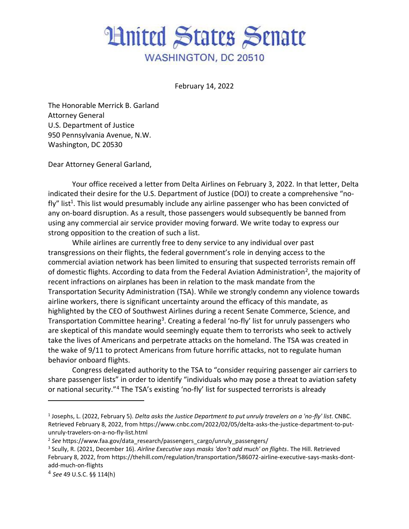## **Hnited States Senate** WASHINGTON, DC 20510

February 14, 2022

The Honorable Merrick B. Garland Attorney General U.S. Department of Justice 950 Pennsylvania Avenue, N.W. Washington, DC 20530

Dear Attorney General Garland,

Your office received a letter from Delta Airlines on February 3, 2022. In that letter, Delta indicated their desire for the U.S. Department of Justice (DOJ) to create a comprehensive "nofly" list<sup>1</sup>. This list would presumably include any airline passenger who has been convicted of any on-board disruption. As a result, those passengers would subsequently be banned from using any commercial air service provider moving forward. We write today to express our strong opposition to the creation of such a list.

While airlines are currently free to deny service to any individual over past transgressions on their flights, the federal government's role in denying access to the commercial aviation network has been limited to ensuring that suspected terrorists remain off of domestic flights. According to data from the Federal Aviation Administration<sup>2</sup>, the majority of recent infractions on airplanes has been in relation to the mask mandate from the Transportation Security Administration (TSA). While we strongly condemn any violence towards airline workers, there is significant uncertainty around the efficacy of this mandate, as highlighted by the CEO of Southwest Airlines during a recent Senate Commerce, Science, and Transportation Committee hearing<sup>3</sup>. Creating a federal 'no-fly' list for unruly passengers who are skeptical of this mandate would seemingly equate them to terrorists who seek to actively take the lives of Americans and perpetrate attacks on the homeland. The TSA was created in the wake of 9/11 to protect Americans from future horrific attacks, not to regulate human behavior onboard flights.

Congress delegated authority to the TSA to "consider requiring passenger air carriers to share passenger lists" in order to identify "individuals who may pose a threat to aviation safety or national security."<sup>4</sup> The TSA's existing 'no-fly' list for suspected terrorists is already

<sup>1</sup> Josephs, L. (2022, February 5). *Delta asks the Justice Department to put unruly travelers on a 'no-fly' list*. CNBC. Retrieved February 8, 2022, from https://www.cnbc.com/2022/02/05/delta-asks-the-justice-department-to-putunruly-travelers-on-a-no-fly-list.html

<sup>&</sup>lt;sup>2</sup> See https://www.faa.gov/data\_research/passengers\_cargo/unruly\_passengers/

<sup>3</sup> Scully, R. (2021, December 16). *Airline Executive says masks 'don't add much' on flights*. The Hill. Retrieved February 8, 2022, from https://thehill.com/regulation/transportation/586072-airline-executive-says-masks-dontadd-much-on-flights

<sup>4</sup> *See* 49 U.S.C. §§ 114(h)